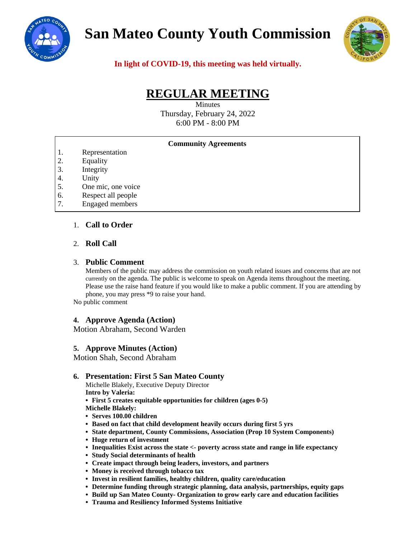

# **San Mateo County Youth Commission**



**In light of COVID-19, this meeting was held virtually.**

# **REGULAR MEETING**

Minutes Thursday, February 24, 2022 6:00 PM - 8:00 PM

#### **Community Agreements**

- 1. Representation
- 2. Equality
- 3. Integrity
- 4. Unity
- 5. One mic, one voice
- 6. Respect all people
- 7. Engaged members

# 1. **Call to Order**

#### 2. **Roll Call**

#### 3. **Public Comment**

Members of the public may address the commission on youth related issues and concerns that are not currently on the agenda. The public is welcome to speak on Agenda items throughout the meeting. Please use the raise hand feature if you would like to make a public comment. If you are attending by phone, you may press \*9 to raise your hand.

No public comment

#### **4. Approve Agenda (Action)**

Motion Abraham, Second Warden

#### **5. Approve Minutes (Action)**

Motion Shah, Second Abraham

#### **6. Presentation: First 5 San Mateo County**

Michelle Blakely, Executive Deputy Director **Intro by Valeria:**

**• First 5 creates equitable opportunities for children (ages 0-5)**

**Michelle Blakely:**

- **• Serves 100.00 children**
- **• Based on fact that child development heavily occurs during first 5 yrs**
- **• State department, County Commissions, Association (Prop 10 System Components)**
- **• Huge return of investment**
- **• Inequalities Exist across the state <- poverty across state and range in life expectancy**
- **• Study Social determinants of health**
- **• Create impact through being leaders, investors, and partners**
- **• Money is received through tobacco tax**
- **• Invest in resilient families, healthy children, quality care/education**
- **• Determine funding through strategic planning, data analysis, partnerships, equity gaps**
- **• Build up San Mateo County- Organization to grow early care and education facilities**
- **• Trauma and Resiliency Informed Systems Initiative**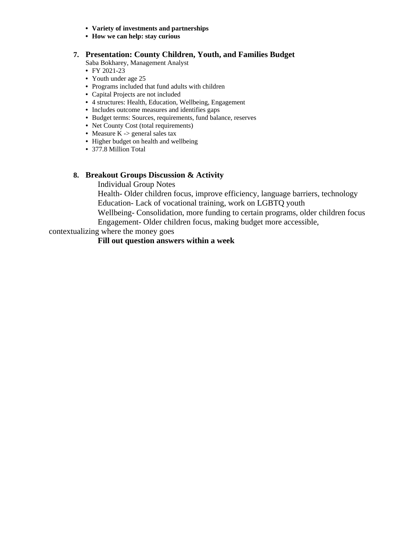- **• Variety of investments and partnerships**
- **• How we can help: stay curious**

# **7. Presentation: County Children, Youth, and Families Budget**

Saba Bokharey, Management Analyst

- FY 2021-23
- Youth under age 25
- Programs included that fund adults with children
- Capital Projects are not included
- 4 structures: Health, Education, Wellbeing, Engagement
- Includes outcome measures and identifies gaps
- Budget terms: Sources, requirements, fund balance, reserves
- Net County Cost (total requirements)
- Measure K -> general sales tax
- Higher budget on health and wellbeing
- 377.8 Million Total

# **8. Breakout Groups Discussion & Activity**

Individual Group Notes

Health- Older children focus, improve efficiency, language barriers, technology Education- Lack of vocational training, work on LGBTQ youth

Wellbeing- Consolidation, more funding to certain programs, older children focus Engagement- Older children focus, making budget more accessible,

contextualizing where the money goes

# **Fill out question answers within a week**